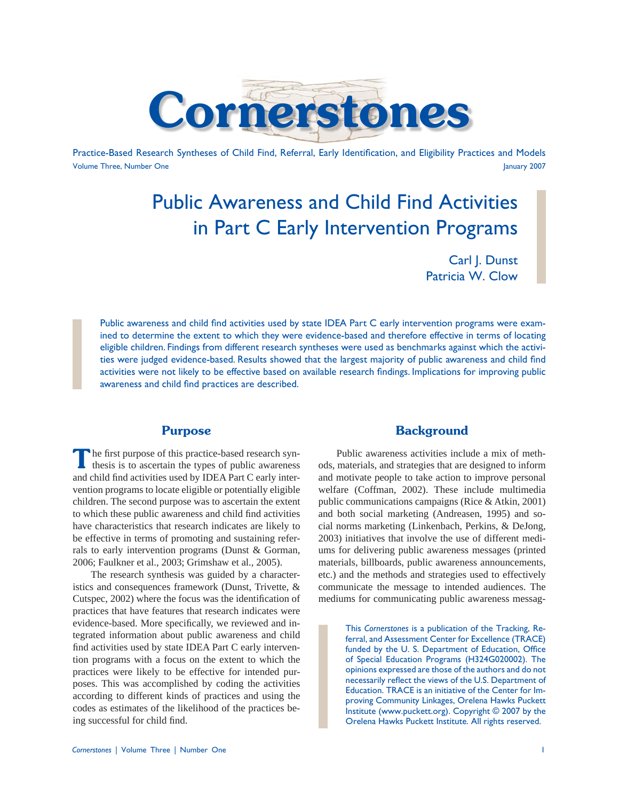

Practice-Based Research Syntheses of Child Find, Referral, Early Identification, and Eligibility Practices and Models Volume Three, Number One January 2007

# Public Awareness and Child Find Activities in Part C Early Intervention Programs

Carl J. Dunst Patricia W. Clow

Public awareness and child find activities used by state IDEA Part C early intervention programs were examined to determine the extent to which they were evidence-based and therefore effective in terms of locating eligible children. Findings from different research syntheses were used as benchmarks against which the activities were judged evidence-based. Results showed that the largest majority of public awareness and child find activities were not likely to be effective based on available research findings. Implications for improving public awareness and child find practices are described.

## **Purpose**

The first purpose of this practice-based research syn-<br>thesis is to ascertain the types of public awareness and child find activities used by IDEA Part C early intervention programs to locate eligible or potentially eligible children. The second purpose was to ascertain the extent to which these public awareness and child find activities have characteristics that research indicates are likely to be effective in terms of promoting and sustaining referrals to early intervention programs (Dunst & Gorman, 2006; Faulkner et al., 2003; Grimshaw et al., 2005).

 The research synthesis was guided by a characteristics and consequences framework (Dunst, Trivette, & Cutspec, 2002) where the focus was the identification of practices that have features that research indicates were evidence-based. More specifically, we reviewed and integrated information about public awareness and child find activities used by state IDEA Part C early intervention programs with a focus on the extent to which the practices were likely to be effective for intended purposes. This was accomplished by coding the activities according to different kinds of practices and using the codes as estimates of the likelihood of the practices being successful for child find.

### **Background**

 Public awareness activities include a mix of methods, materials, and strategies that are designed to inform and motivate people to take action to improve personal welfare (Coffman, 2002). These include multimedia public communications campaigns (Rice & Atkin, 2001) and both social marketing (Andreasen, 1995) and social norms marketing (Linkenbach, Perkins, & DeJong, 2003) initiatives that involve the use of different mediums for delivering public awareness messages (printed materials, billboards, public awareness announcements, etc.) and the methods and strategies used to effectively communicate the message to intended audiences. The mediums for communicating public awareness messag-

> This *Cornerstones* is a publication of the Tracking, Referral, and Assessment Center for Excellence (TRACE) funded by the U. S. Department of Education, Office of Special Education Programs (H324G020002). The opinions expressed are those of the authors and do not necessarily reflect the views of the U.S. Department of Education. TRACE is an initiative of the Center for Improving Community Linkages, Orelena Hawks Puckett Institute (www.puckett.org). Copyright © 2007 by the Orelena Hawks Puckett Institute. All rights reserved.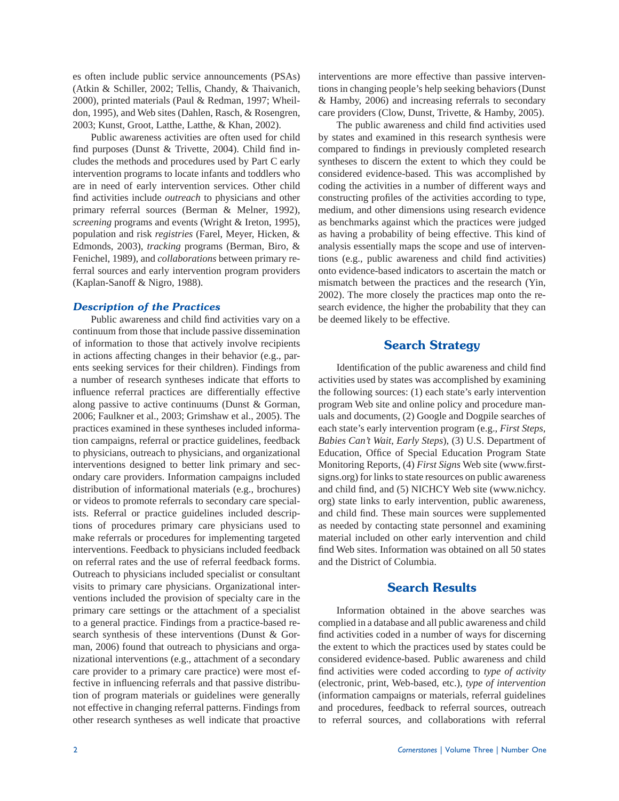es often include public service announcements (PSAs) (Atkin & Schiller, 2002; Tellis, Chandy, & Thaivanich, 2000), printed materials (Paul & Redman, 1997; Wheildon, 1995), and Web sites (Dahlen, Rasch, & Rosengren, 2003; Kunst, Groot, Latthe, Latthe, & Khan, 2002).

 Public awareness activities are often used for child find purposes (Dunst & Trivette, 2004). Child find includes the methods and procedures used by Part C early intervention programs to locate infants and toddlers who are in need of early intervention services. Other child find activities include *outreach* to physicians and other primary referral sources (Berman & Melner, 1992), *screening* programs and events (Wright & Ireton, 1995), population and risk *registries* (Farel, Meyer, Hicken, & Edmonds, 2003), *tracking* programs (Berman, Biro, & Fenichel, 1989), and *collaborations* between primary referral sources and early intervention program providers (Kaplan-Sanoff & Nigro, 1988).

#### *Description of the Practices*

Public awareness and child find activities vary on a continuum from those that include passive dissemination of information to those that actively involve recipients in actions affecting changes in their behavior (e.g., parents seeking services for their children). Findings from a number of research syntheses indicate that efforts to influence referral practices are differentially effective along passive to active continuums (Dunst & Gorman, 2006; Faulkner et al., 2003; Grimshaw et al., 2005). The practices examined in these syntheses included information campaigns, referral or practice guidelines, feedback to physicians, outreach to physicians, and organizational interventions designed to better link primary and secondary care providers. Information campaigns included distribution of informational materials (e.g., brochures) or videos to promote referrals to secondary care specialists. Referral or practice guidelines included descriptions of procedures primary care physicians used to make referrals or procedures for implementing targeted interventions. Feedback to physicians included feedback on referral rates and the use of referral feedback forms. Outreach to physicians included specialist or consultant visits to primary care physicians. Organizational interventions included the provision of specialty care in the primary care settings or the attachment of a specialist to a general practice. Findings from a practice-based research synthesis of these interventions (Dunst & Gorman, 2006) found that outreach to physicians and organizational interventions (e.g., attachment of a secondary care provider to a primary care practice) were most effective in influencing referrals and that passive distribution of program materials or guidelines were generally not effective in changing referral patterns. Findings from other research syntheses as well indicate that proactive interventions are more effective than passive interventions in changing people's help seeking behaviors (Dunst & Hamby, 2006) and increasing referrals to secondary care providers (Clow, Dunst, Trivette, & Hamby, 2005).

The public awareness and child find activities used by states and examined in this research synthesis were compared to findings in previously completed research syntheses to discern the extent to which they could be considered evidence-based. This was accomplished by coding the activities in a number of different ways and constructing profiles of the activities according to type, medium, and other dimensions using research evidence as benchmarks against which the practices were judged as having a probability of being effective. This kind of analysis essentially maps the scope and use of interventions (e.g., public awareness and child find activities) onto evidence-based indicators to ascertain the match or mismatch between the practices and the research (Yin, 2002). The more closely the practices map onto the research evidence, the higher the probability that they can be deemed likely to be effective.

## **Search Strategy**

Identification of the public awareness and child find activities used by states was accomplished by examining the following sources: (1) each state's early intervention program Web site and online policy and procedure manuals and documents, (2) Google and Dogpile searches of each state's early intervention program (e.g., *First Steps*, *Babies Can't Wait*, *Early Steps*), (3) U.S. Department of Education, Office of Special Education Program State Monitoring Reports, (4) *First Signs* Web site (www.firstsigns.org) for links to state resources on public awareness and child find, and (5) NICHCY Web site (www.nichcy. org) state links to early intervention, public awareness, and child find. These main sources were supplemented as needed by contacting state personnel and examining material included on other early intervention and child find Web sites. Information was obtained on all 50 states and the District of Columbia.

## **Search Results**

 Information obtained in the above searches was complied in a database and all public awareness and child find activities coded in a number of ways for discerning the extent to which the practices used by states could be considered evidence-based. Public awareness and child find activities were coded according to *type of activity* (electronic, print, Web-based, etc.), *type of intervention* (information campaigns or materials, referral guidelines and procedures, feedback to referral sources, outreach to referral sources, and collaborations with referral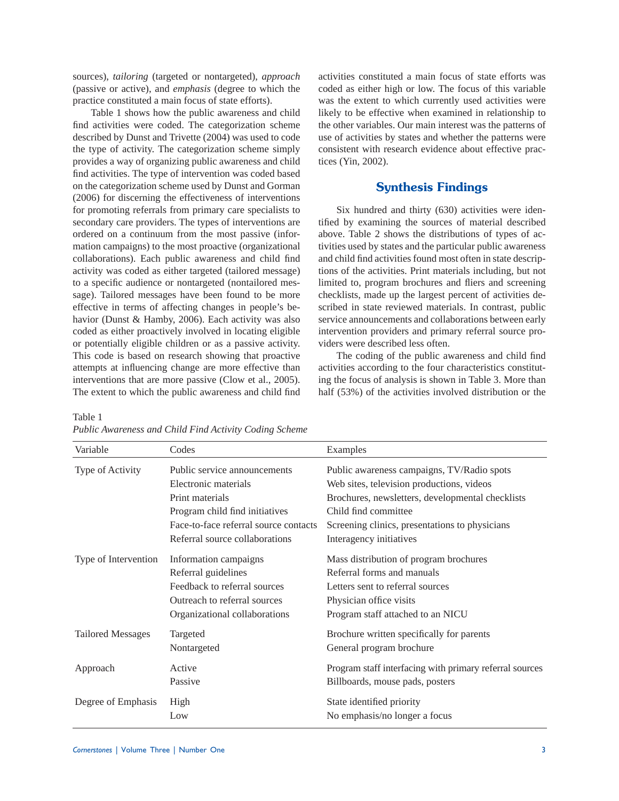sources), *tailoring* (targeted or nontargeted), *approach* (passive or active), and *emphasis* (degree to which the practice constituted a main focus of state efforts).

 Table 1 shows how the public awareness and child find activities were coded. The categorization scheme described by Dunst and Trivette (2004) was used to code the type of activity. The categorization scheme simply provides a way of organizing public awareness and child find activities. The type of intervention was coded based on the categorization scheme used by Dunst and Gorman (2006) for discerning the effectiveness of interventions for promoting referrals from primary care specialists to secondary care providers. The types of interventions are ordered on a continuum from the most passive (information campaigns) to the most proactive (organizational collaborations). Each public awareness and child find activity was coded as either targeted (tailored message) to a specific audience or nontargeted (nontailored message). Tailored messages have been found to be more effective in terms of affecting changes in people's behavior (Dunst & Hamby, 2006). Each activity was also coded as either proactively involved in locating eligible or potentially eligible children or as a passive activity. This code is based on research showing that proactive attempts at influencing change are more effective than interventions that are more passive (Clow et al., 2005). The extent to which the public awareness and child find activities constituted a main focus of state efforts was coded as either high or low. The focus of this variable was the extent to which currently used activities were likely to be effective when examined in relationship to the other variables. Our main interest was the patterns of use of activities by states and whether the patterns were consistent with research evidence about effective practices (Yin, 2002).

### **Synthesis Findings**

 Six hundred and thirty (630) activities were identified by examining the sources of material described above. Table 2 shows the distributions of types of activities used by states and the particular public awareness and child find activities found most often in state descriptions of the activities. Print materials including, but not limited to, program brochures and fliers and screening checklists, made up the largest percent of activities described in state reviewed materials. In contrast, public service announcements and collaborations between early intervention providers and primary referral source providers were described less often.

The coding of the public awareness and child find activities according to the four characteristics constituting the focus of analysis is shown in Table 3. More than half (53%) of the activities involved distribution or the

Table 1

| Variable                 | Codes                                                | Examples                                                                                |
|--------------------------|------------------------------------------------------|-----------------------------------------------------------------------------------------|
| Type of Activity         | Public service announcements<br>Electronic materials | Public awareness campaigns, TV/Radio spots<br>Web sites, television productions, videos |
|                          | Print materials                                      | Brochures, newsletters, developmental checklists                                        |
|                          | Program child find initiatives                       | Child find committee                                                                    |
|                          | Face-to-face referral source contacts                | Screening clinics, presentations to physicians                                          |
|                          | Referral source collaborations                       | Interagency initiatives                                                                 |
| Type of Intervention     | Information campaigns                                | Mass distribution of program brochures                                                  |
|                          | Referral guidelines                                  | Referral forms and manuals                                                              |
|                          | Feedback to referral sources                         | Letters sent to referral sources                                                        |
|                          | Outreach to referral sources                         | Physician office visits                                                                 |
|                          | Organizational collaborations                        | Program staff attached to an NICU                                                       |
| <b>Tailored Messages</b> | Targeted                                             | Brochure written specifically for parents                                               |
|                          | Nontargeted                                          | General program brochure                                                                |
| Approach                 | Active                                               | Program staff interfacing with primary referral sources                                 |
|                          | Passive                                              | Billboards, mouse pads, posters                                                         |
| Degree of Emphasis       | High                                                 | State identified priority                                                               |
|                          | Low                                                  | No emphasis/no longer a focus                                                           |

*Public Awareness and Child Find Activity Coding Scheme*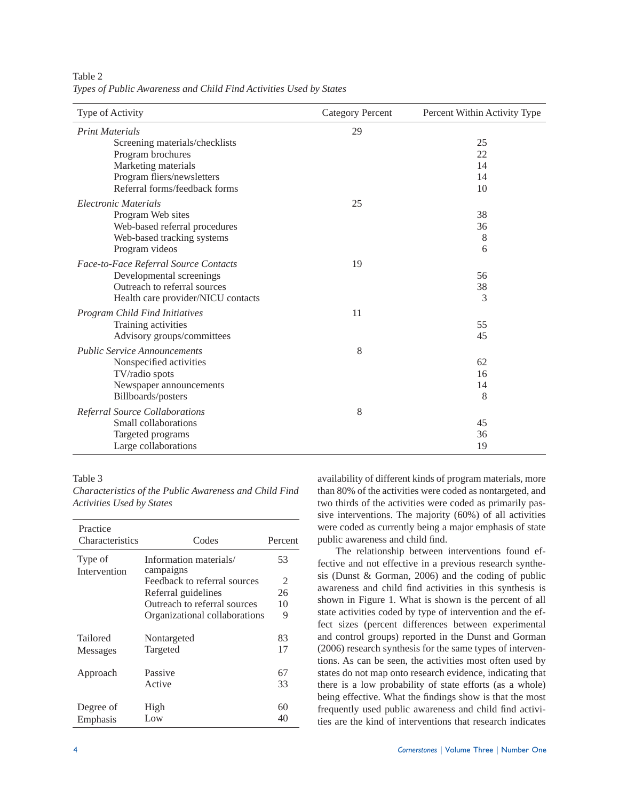| Type of Activity                      | <b>Category Percent</b> | Percent Within Activity Type |  |
|---------------------------------------|-------------------------|------------------------------|--|
| <b>Print Materials</b>                | 29                      |                              |  |
| Screening materials/checklists        |                         | 25                           |  |
| Program brochures                     |                         | 22                           |  |
| Marketing materials                   |                         | 14                           |  |
| Program fliers/newsletters            |                         | 14                           |  |
| Referral forms/feedback forms         |                         | 10                           |  |
| Electronic Materials                  | 25                      |                              |  |
| Program Web sites                     |                         | 38                           |  |
| Web-based referral procedures         |                         | 36                           |  |
| Web-based tracking systems            |                         | 8                            |  |
| Program videos                        |                         | 6                            |  |
| Face-to-Face Referral Source Contacts | 19                      |                              |  |
| Developmental screenings              |                         | 56                           |  |
| Outreach to referral sources          |                         | 38                           |  |
| Health care provider/NICU contacts    |                         | 3                            |  |
| <b>Program Child Find Initiatives</b> | 11                      |                              |  |
| Training activities                   |                         | 55                           |  |
| Advisory groups/committees            |                         | 45                           |  |
| <b>Public Service Announcements</b>   | 8                       |                              |  |
| Nonspecified activities               |                         | 62                           |  |
| TV/radio spots                        |                         | 16                           |  |
| Newspaper announcements               |                         | 14                           |  |
| Billboards/posters                    |                         | 8                            |  |
| Referral Source Collaborations        | 8                       |                              |  |
| Small collaborations                  |                         | 45                           |  |
| Targeted programs                     |                         | 36                           |  |
| Large collaborations                  |                         | 19                           |  |

Table 2 *Types of Public Awareness and Child Find Activities Used by States*

#### Table 3

*Characteristics of the Public Awareness and Child Find Activities Used by States*

| Practice<br><b>Characteristics</b> | Codes                               | Percent |
|------------------------------------|-------------------------------------|---------|
| Type of<br>Intervention            | Information materials/<br>campaigns | 53      |
|                                    | Feedback to referral sources        | 2       |
|                                    | Referral guidelines                 | 26      |
|                                    | Outreach to referral sources        | 10      |
|                                    | Organizational collaborations       | 9       |
|                                    |                                     |         |
| Tailored                           | Nontargeted                         | 83      |
| <b>Messages</b>                    | Targeted                            | 17      |
|                                    | Passive                             | 67      |
| Approach                           |                                     |         |
|                                    | Active                              | 33      |
| Degree of                          | High                                | 60      |
| Emphasis                           | Low                                 | 40      |
|                                    |                                     |         |

availability of different kinds of program materials, more than 80% of the activities were coded as nontargeted, and two thirds of the activities were coded as primarily passive interventions. The majority (60%) of all activities were coded as currently being a major emphasis of state public awareness and child find.

 The relationship between interventions found effective and not effective in a previous research synthesis (Dunst & Gorman, 2006) and the coding of public awareness and child find activities in this synthesis is shown in Figure 1. What is shown is the percent of all state activities coded by type of intervention and the effect sizes (percent differences between experimental and control groups) reported in the Dunst and Gorman (2006) research synthesis for the same types of interventions. As can be seen, the activities most often used by states do not map onto research evidence, indicating that there is a low probability of state efforts (as a whole) being effective. What the findings show is that the most frequently used public awareness and child find activities are the kind of interventions that research indicates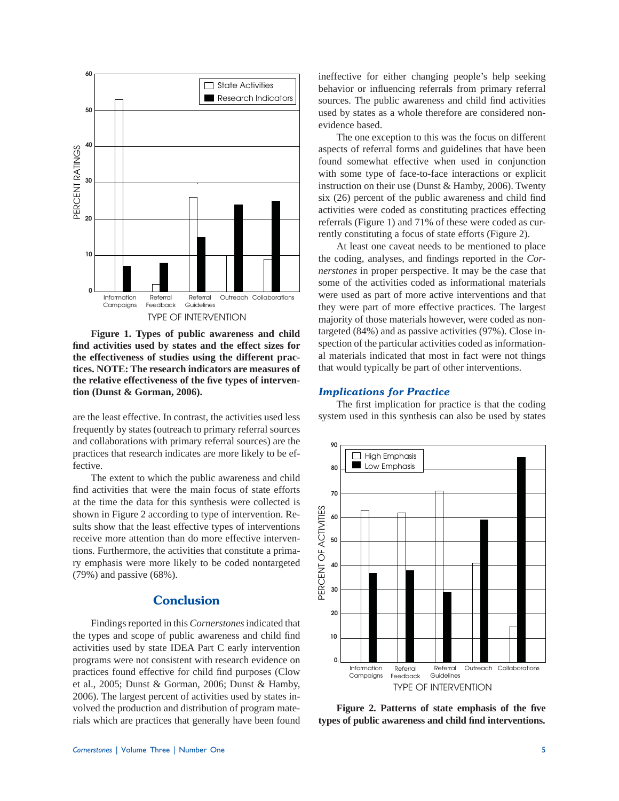

 **Figure 1. Types of public awareness and child fi nd activities used by states and the effect sizes for the effectiveness of studies using the different practices. NOTE: The research indicators are measures of the relative effectiveness of the fi ve types of intervention (Dunst & Gorman, 2006).**

are the least effective. In contrast, the activities used less frequently by states (outreach to primary referral sources and collaborations with primary referral sources) are the practices that research indicates are more likely to be effective.

 The extent to which the public awareness and child find activities that were the main focus of state efforts at the time the data for this synthesis were collected is shown in Figure 2 according to type of intervention. Results show that the least effective types of interventions receive more attention than do more effective interventions. Furthermore, the activities that constitute a primary emphasis were more likely to be coded nontargeted (79%) and passive (68%).

# **Conclusion**

 Findings reported in this *Cornerstones* indicated that the types and scope of public awareness and child find activities used by state IDEA Part C early intervention programs were not consistent with research evidence on practices found effective for child find purposes (Clow et al., 2005; Dunst & Gorman, 2006; Dunst & Hamby, 2006). The largest percent of activities used by states involved the production and distribution of program materials which are practices that generally have been found ineffective for either changing people's help seeking behavior or influencing referrals from primary referral sources. The public awareness and child find activities used by states as a whole therefore are considered nonevidence based.

 The one exception to this was the focus on different aspects of referral forms and guidelines that have been found somewhat effective when used in conjunction with some type of face-to-face interactions or explicit instruction on their use (Dunst & Hamby, 2006). Twenty six  $(26)$  percent of the public awareness and child find activities were coded as constituting practices effecting referrals (Figure 1) and 71% of these were coded as currently constituting a focus of state efforts (Figure 2).

 At least one caveat needs to be mentioned to place the coding, analyses, and findings reported in the *Cornerstones* in proper perspective. It may be the case that some of the activities coded as informational materials were used as part of more active interventions and that they were part of more effective practices. The largest majority of those materials however, were coded as nontargeted (84%) and as passive activities (97%). Close inspection of the particular activities coded as informational materials indicated that most in fact were not things that would typically be part of other interventions.

#### *Implications for Practice*

The first implication for practice is that the coding system used in this synthesis can also be used by states



Figure 2. Patterns of state emphasis of the five **types of public awareness and child fi nd interventions.**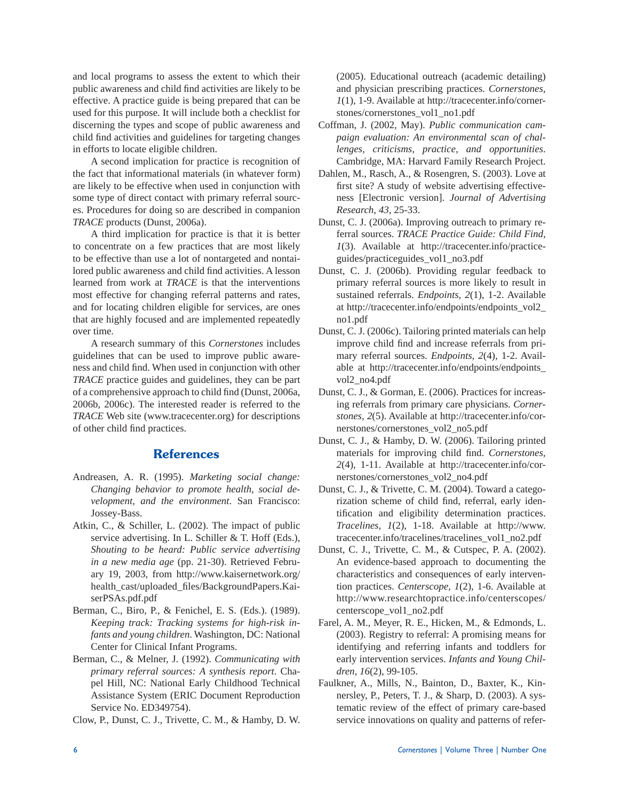and local programs to assess the extent to which their public awareness and child find activities are likely to be effective. A practice guide is being prepared that can be used for this purpose. It will include both a checklist for discerning the types and scope of public awareness and child find activities and guidelines for targeting changes in efforts to locate eligible children.

 A second implication for practice is recognition of the fact that informational materials (in whatever form) are likely to be effective when used in conjunction with some type of direct contact with primary referral sources. Procedures for doing so are described in companion *TRACE* products (Dunst, 2006a).

 A third implication for practice is that it is better to concentrate on a few practices that are most likely to be effective than use a lot of nontargeted and nontailored public awareness and child find activities. A lesson learned from work at *TRACE* is that the interventions most effective for changing referral patterns and rates, and for locating children eligible for services, are ones that are highly focused and are implemented repeatedly over time.

 A research summary of this *Cornerstones* includes guidelines that can be used to improve public awareness and child find. When used in conjunction with other *TRACE* practice guides and guidelines, they can be part of a comprehensive approach to child find (Dunst, 2006a, 2006b, 2006c). The interested reader is referred to the *TRACE* Web site (www.tracecenter.org) for descriptions of other child find practices.

#### **References**

- Andreasen, A. R. (1995). *Marketing social change: Changing behavior to promote health, social development, and the environment*. San Francisco: Jossey-Bass.
- Atkin, C., & Schiller, L. (2002). The impact of public service advertising. In L. Schiller & T. Hoff (Eds.), *Shouting to be heard: Public service advertising in a new media age* (pp. 21-30). Retrieved February 19, 2003, from http://www.kaisernetwork.org/ health\_cast/uploaded\_fi les/BackgroundPapers.KaiserPSAs.pdf.pdf
- Berman, C., Biro, P., & Fenichel, E. S. (Eds.). (1989). *Keeping track: Tracking systems for high-risk infants and young children*. Washington, DC: National Center for Clinical Infant Programs.
- Berman, C., & Melner, J. (1992). *Communicating with primary referral sources: A synthesis report*. Chapel Hill, NC: National Early Childhood Technical Assistance System (ERIC Document Reproduction Service No. ED349754).

Clow, P., Dunst, C. J., Trivette, C. M., & Hamby, D. W.

(2005). Educational outreach (academic detailing) and physician prescribing practices. *Cornerstones, 1*(1), 1-9. Available at http://tracecenter.info/cornerstones/cornerstones\_vol1\_no1.pdf

- Coffman, J. (2002, May). *Public communication campaign evaluation: An environmental scan of challenges, criticisms, practice, and opportunities*. Cambridge, MA: Harvard Family Research Project.
- Dahlen, M., Rasch, A., & Rosengren, S. (2003). Love at first site? A study of website advertising effectiveness [Electronic version]. *Journal of Advertising Research, 43*, 25-33.
- Dunst, C. J. (2006a). Improving outreach to primary referral sources. *TRACE Practice Guide: Child Find, 1*(3). Available at http://tracecenter.info/practiceguides/practiceguides\_vol1\_no3.pdf
- Dunst, C. J. (2006b). Providing regular feedback to primary referral sources is more likely to result in sustained referrals. *Endpoints, 2*(1), 1-2. Available at http://tracecenter.info/endpoints/endpoints\_vol2\_ no1.pdf
- Dunst, C. J. (2006c). Tailoring printed materials can help improve child find and increase referrals from primary referral sources. *Endpoints, 2*(4), 1-2. Available at http://tracecenter.info/endpoints/endpoints\_ vol2\_no4.pdf
- Dunst, C. J., & Gorman, E. (2006). Practices for increasing referrals from primary care physicians. *Cornerstones, 2*(5). Available at http://tracecenter.info/cornerstones/cornerstones\_vol2\_no5.pdf
- Dunst, C. J., & Hamby, D. W. (2006). Tailoring printed materials for improving child find. *Cornerstones*, *2*(4), 1-11. Available at http://tracecenter.info/cornerstones/cornerstones\_vol2\_no4.pdf
- Dunst, C. J., & Trivette, C. M. (2004). Toward a categorization scheme of child find, referral, early identification and eligibility determination practices. *Tracelines, 1*(2), 1-18. Available at http://www. tracecenter.info/tracelines/tracelines\_vol1\_no2.pdf
- Dunst, C. J., Trivette, C. M., & Cutspec, P. A. (2002). An evidence-based approach to documenting the characteristics and consequences of early intervention practices. *Centerscope, 1*(2), 1-6. Available at http://www.researchtopractice.info/centerscopes/ centerscope\_vol1\_no2.pdf
- Farel, A. M., Meyer, R. E., Hicken, M., & Edmonds, L. (2003). Registry to referral: A promising means for identifying and referring infants and toddlers for early intervention services. *Infants and Young Children, 16*(2), 99-105.
- Faulkner, A., Mills, N., Bainton, D., Baxter, K., Kinnersley, P., Peters, T. J., & Sharp, D. (2003). A systematic review of the effect of primary care-based service innovations on quality and patterns of refer-